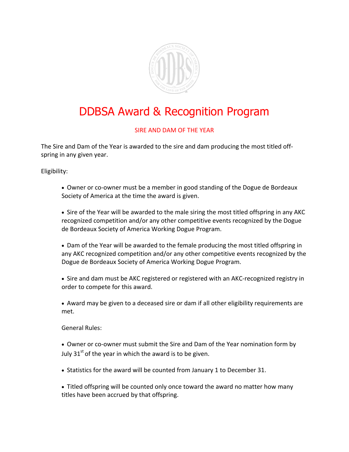

## DDBSA Award & Recognition Program

## SIRE AND DAM OF THE YEAR

The Sire and Dam of the Year is awarded to the sire and dam producing the most titled offspring in any given year.

Eligibility:

- Owner or co-owner must be a member in good standing of the Dogue de Bordeaux Society of America at the time the award is given.
- Sire of the Year will be awarded to the male siring the most titled offspring in any AKC recognized competition and/or any other competitive events recognized by the Dogue de Bordeaux Society of America Working Dogue Program.
- Dam of the Year will be awarded to the female producing the most titled offspring in any AKC recognized competition and/or any other competitive events recognized by the Dogue de Bordeaux Society of America Working Dogue Program.
- Sire and dam must be AKC registered or registered with an AKC-recognized registry in order to compete for this award.
- Award may be given to a deceased sire or dam if all other eligibility requirements are met.

General Rules:

- Owner or co-owner must submit the Sire and Dam of the Year nomination form by July  $31<sup>st</sup>$  of the year in which the award is to be given.
- Statistics for the award will be counted from January 1 to December 31.
- Titled offspring will be counted only once toward the award no matter how many titles have been accrued by that offspring.